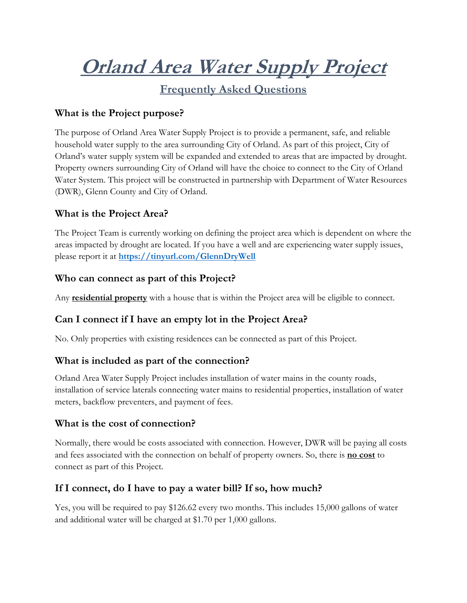**Orland Area Water Supply Project**

**Frequently Asked Questions** 

### **What is the Project purpose?**

The purpose of Orland Area Water Supply Project is to provide a permanent, safe, and reliable household water supply to the area surrounding City of Orland. As part of this project, City of Orland's water supply system will be expanded and extended to areas that are impacted by drought. Property owners surrounding City of Orland will have the choice to connect to the City of Orland Water System. This project will be constructed in partnership with Department of Water Resources (DWR), Glenn County and City of Orland.

#### **What is the Project Area?**

The Project Team is currently working on defining the project area which is dependent on where the areas impacted by drought are located. If you have a well and are experiencing water supply issues, please report it at **<https://tinyurl.com/GlennDryWell>**

#### **Who can connect as part of this Project?**

Any **residential property** with a house that is within the Project area will be eligible to connect.

## **Can I connect if I have an empty lot in the Project Area?**

No. Only properties with existing residences can be connected as part of this Project.

#### **What is included as part of the connection?**

Orland Area Water Supply Project includes installation of water mains in the county roads, installation of service laterals connecting water mains to residential properties, installation of water meters, backflow preventers, and payment of fees.

#### **What is the cost of connection?**

Normally, there would be costs associated with connection. However, DWR will be paying all costs and fees associated with the connection on behalf of property owners. So, there is **no cost** to connect as part of this Project.

#### **If I connect, do I have to pay a water bill? If so, how much?**

Yes, you will be required to pay \$126.62 every two months. This includes 15,000 gallons of water and additional water will be charged at \$1.70 per 1,000 gallons.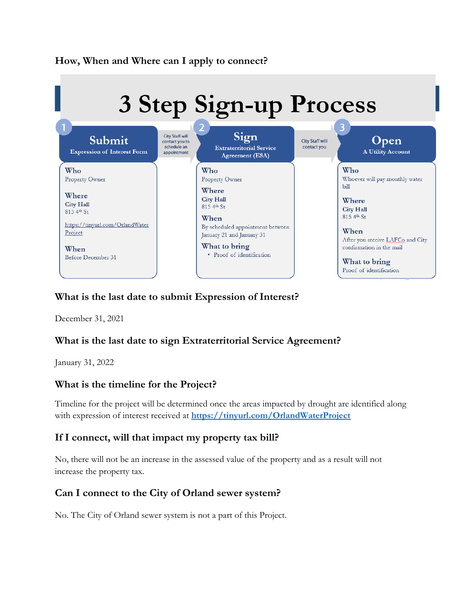

### **What is the last date to submit Expression of Interest?**

December 31, 2021

## **What is the last date to sign Extraterritorial Service Agreement?**

January 31, 2022

#### **What is the timeline for the Project?**

Timeline for the project will be determined once the areas impacted by drought are identified along with expression of interest received at **[https://tinyurl.com/OrlandWaterProject](https://protect-us.mimecast.com/s/2SgtCo2nzYslkAjXS66Wia)**

#### **If I connect, will that impact my property tax bill?**

No, there will not be an increase in the assessed value of the property and as a result will not increase the property tax.

#### **Can I connect to the City of Orland sewer system?**

No. The City of Orland sewer system is not a part of this Project.